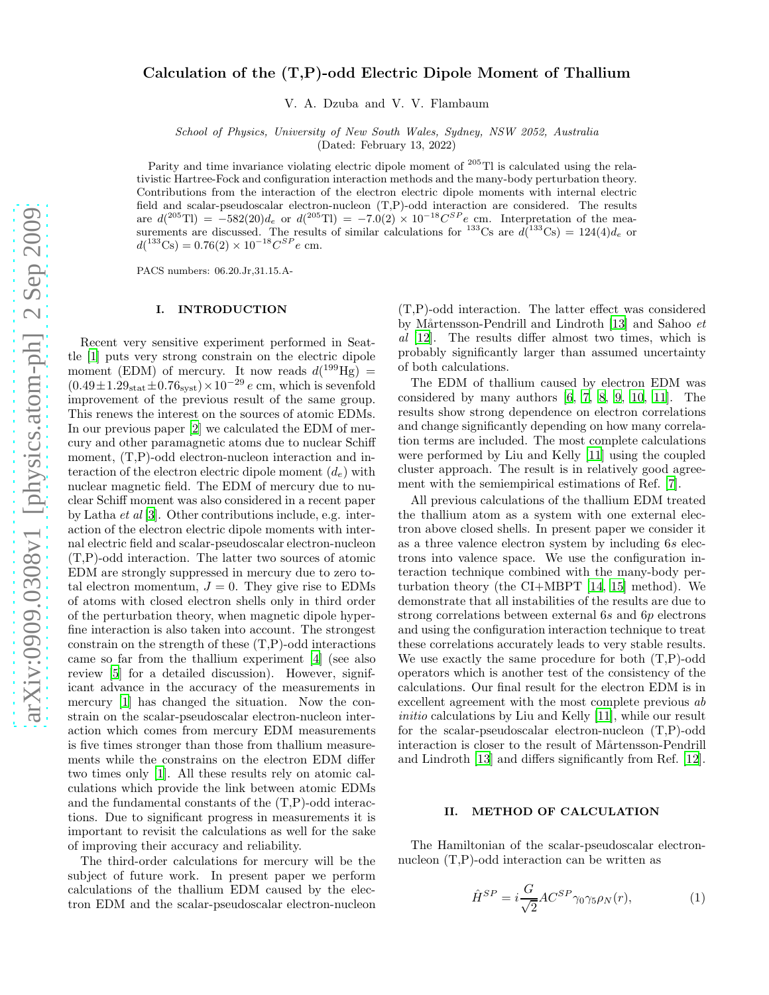# Calculation of the (T,P)-odd Electric Dipole Moment of Thallium

V. A. Dzuba and V. V. Flambaum

School of Physics, University of New South Wales, Sydney, NSW 2052, Australia

(Dated: February 13, 2022)

Parity and time invariance violating electric dipole moment of <sup>205</sup>Tl is calculated using the relativistic Hartree-Fock and configuration interaction methods and the many-body perturbation theory. Contributions from the interaction of the electron electric dipole moments with internal electric field and scalar-pseudoscalar electron-nucleon (T,P)-odd interaction are considered. The results are  $d(^{205}Tl) = -582(20)d_e$  or  $d(^{205}Tl) = -7.0(2) \times 10^{-18} C^{SP}e$  cm. Interpretation of the measurements are discussed. The results of similar calculations for <sup>133</sup>Cs are  $d(^{133}Cs) = 124(4)d_e$  or  $d(^{133}\text{Cs}) = 0.76(2) \times 10^{-18} C^{SP}e \text{ cm}.$ 

PACS numbers: 06.20.Jr,31.15.A-

# I. INTRODUCTION

Recent very sensitive experiment performed in Seattle [\[1\]](#page-3-0) puts very strong constrain on the electric dipole moment (EDM) of mercury. It now reads  $d(^{199}Hg)$  =  $(0.49 \pm 1.29<sub>stat</sub> \pm 0.76<sub>syst</sub>) \times 10<sup>-29</sup> e cm$ , which is sevenfold improvement of the previous result of the same group. This renews the interest on the sources of atomic EDMs. In our previous paper [\[2](#page-3-1)] we calculated the EDM of mercury and other paramagnetic atoms due to nuclear Schiff moment,  $(T,P)$ -odd electron-nucleon interaction and interaction of the electron electric dipole moment  $(d_e)$  with nuclear magnetic field. The EDM of mercury due to nuclear Schiff moment was also considered in a recent paper by Latha et al [\[3\]](#page-3-2). Other contributions include, e.g. interaction of the electron electric dipole moments with internal electric field and scalar-pseudoscalar electron-nucleon (T,P)-odd interaction. The latter two sources of atomic EDM are strongly suppressed in mercury due to zero total electron momentum,  $J = 0$ . They give rise to EDMs of atoms with closed electron shells only in third order of the perturbation theory, when magnetic dipole hyperfine interaction is also taken into account. The strongest constrain on the strength of these (T,P)-odd interactions came so far from the thallium experiment [\[4](#page-3-3)] (see also review [\[5\]](#page-3-4) for a detailed discussion). However, significant advance in the accuracy of the measurements in mercury [\[1](#page-3-0)] has changed the situation. Now the constrain on the scalar-pseudoscalar electron-nucleon interaction which comes from mercury EDM measurements is five times stronger than those from thallium measurements while the constrains on the electron EDM differ two times only [\[1](#page-3-0)]. All these results rely on atomic calculations which provide the link between atomic EDMs and the fundamental constants of the (T,P)-odd interactions. Due to significant progress in measurements it is important to revisit the calculations as well for the sake of improving their accuracy and reliability.

The third-order calculations for mercury will be the subject of future work. In present paper we perform calculations of the thallium EDM caused by the electron EDM and the scalar-pseudoscalar electron-nucleon

(T,P)-odd interaction. The latter effect was considered by Mårtensson-Pendrill and Lindroth [\[13\]](#page-3-5) and Sahoo  $et$ al [\[12](#page-3-6)]. The results differ almost two times, which is probably significantly larger than assumed uncertainty of both calculations.

The EDM of thallium caused by electron EDM was considered by many authors [\[6](#page-3-7), [7](#page-3-8), [8](#page-3-9), [9,](#page-3-10) [10,](#page-3-11) [11\]](#page-3-12). The results show strong dependence on electron correlations and change significantly depending on how many correlation terms are included. The most complete calculations were performed by Liu and Kelly [\[11\]](#page-3-12) using the coupled cluster approach. The result is in relatively good agreement with the semiempirical estimations of Ref. [\[7](#page-3-8)].

All previous calculations of the thallium EDM treated the thallium atom as a system with one external electron above closed shells. In present paper we consider it as a three valence electron system by including 6s electrons into valence space. We use the configuration interaction technique combined with the many-body perturbation theory (the CI+MBPT [\[14,](#page-3-13) [15\]](#page-3-14) method). We demonstrate that all instabilities of the results are due to strong correlations between external 6s and 6p electrons and using the configuration interaction technique to treat these correlations accurately leads to very stable results. We use exactly the same procedure for both (T,P)-odd operators which is another test of the consistency of the calculations. Our final result for the electron EDM is in excellent agreement with the most complete previous ab initio calculations by Liu and Kelly [\[11\]](#page-3-12), while our result for the scalar-pseudoscalar electron-nucleon (T,P)-odd interaction is closer to the result of Mårtensson-Pendrill and Lindroth [\[13](#page-3-5)] and differs significantly from Ref. [\[12\]](#page-3-6).

### II. METHOD OF CALCULATION

The Hamiltonian of the scalar-pseudoscalar electronnucleon (T,P)-odd interaction can be written as

<span id="page-0-0"></span>
$$
\hat{H}^{SP} = i \frac{G}{\sqrt{2}} AC^{SP} \gamma_0 \gamma_5 \rho_N(r), \qquad (1)
$$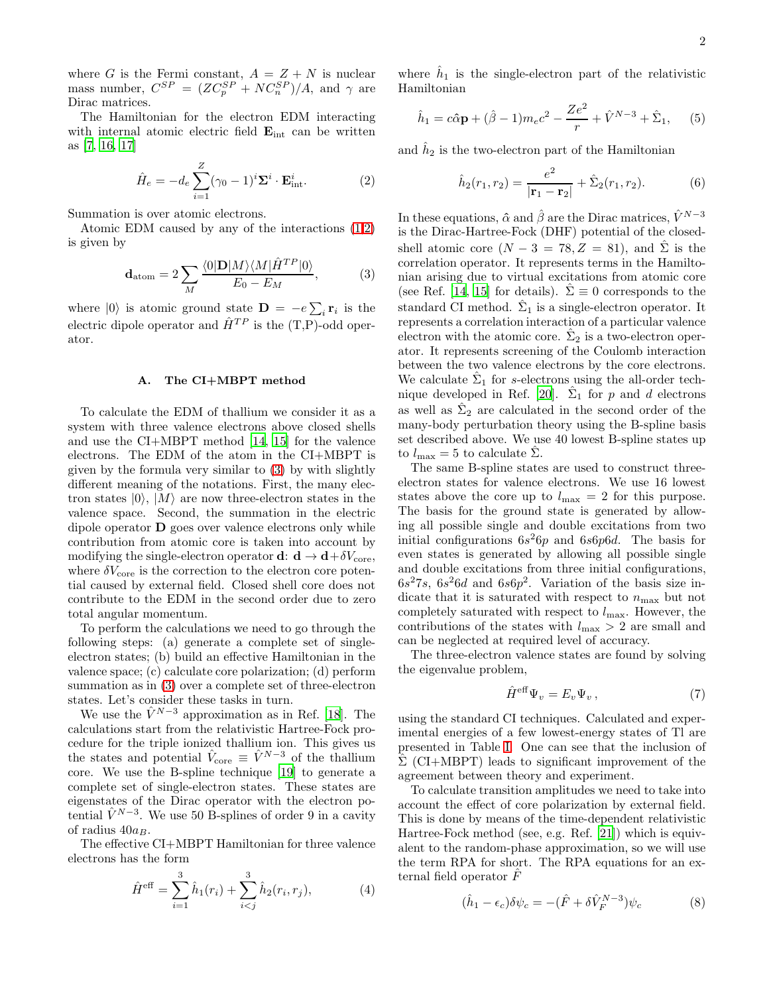where G is the Fermi constant,  $A = Z + N$  is nuclear mass number,  $C^{SP} = (ZC_p^{SP} + NC_n^{SP})/A$ , and  $\gamma$  are Dirac matrices.

The Hamiltonian for the electron EDM interacting with internal atomic electric field  $\mathbf{E}_{int}$  can be written as [\[7](#page-3-8), [16,](#page-3-15) [17](#page-3-16)]

<span id="page-1-0"></span>
$$
\hat{H}_e = -d_e \sum_{i=1}^{Z} (\gamma_0 - 1)^i \Sigma^i \cdot \mathbf{E}_{\text{int}}^i.
$$
 (2)

Summation is over atomic electrons.

Atomic EDM caused by any of the interactions [\(1](#page-0-0)[,2\)](#page-1-0) is given by

<span id="page-1-1"></span>
$$
\mathbf{d}_{\text{atom}} = 2 \sum_{M} \frac{\langle 0 | \mathbf{D} | M \rangle \langle M | \hat{H}^{TP} | 0 \rangle}{E_0 - E_M}, \tag{3}
$$

where  $|0\rangle$  is atomic ground state  $\mathbf{D} = -e\sum_i \mathbf{r}_i$  is the electric dipole operator and  $\hat{H}^{TP}$  is the  $(T,P)$ -odd operator.

## A. The CI+MBPT method

To calculate the EDM of thallium we consider it as a system with three valence electrons above closed shells and use the CI+MBPT method [\[14](#page-3-13), [15\]](#page-3-14) for the valence electrons. The EDM of the atom in the CI+MBPT is given by the formula very similar to [\(3\)](#page-1-1) by with slightly different meaning of the notations. First, the many electron states  $|0\rangle$ ,  $|M\rangle$  are now three-electron states in the valence space. Second, the summation in the electric dipole operator D goes over valence electrons only while contribution from atomic core is taken into account by modifying the single-electron operator **d**:  $\mathbf{d} \to \mathbf{d} + \delta V_{\text{core}}$ , where  $\delta V_{\text{core}}$  is the correction to the electron core potential caused by external field. Closed shell core does not contribute to the EDM in the second order due to zero total angular momentum.

To perform the calculations we need to go through the following steps: (a) generate a complete set of singleelectron states; (b) build an effective Hamiltonian in the valence space; (c) calculate core polarization; (d) perform summation as in [\(3\)](#page-1-1) over a complete set of three-electron states. Let's consider these tasks in turn.

We use the  $\hat{V}^{N-3}$  approximation as in Ref. [\[18](#page-3-17)]. The calculations start from the relativistic Hartree-Fock procedure for the triple ionized thallium ion. This gives us the states and potential  $\hat{V}_{\text{core}} \equiv \hat{V}^{N-3}$  of the thallium core. We use the B-spline technique [\[19\]](#page-3-18) to generate a complete set of single-electron states. These states are eigenstates of the Dirac operator with the electron potential  $\hat{V}^{N-3}$ . We use 50 B-splines of order 9 in a cavity of radius  $40a_B$ .

The effective CI+MBPT Hamiltonian for three valence electrons has the form

$$
\hat{H}^{\text{eff}} = \sum_{i=1}^{3} \hat{h}_1(r_i) + \sum_{i < j}^{3} \hat{h}_2(r_i, r_j),\tag{4}
$$

where  $\hat{h}_1$  is the single-electron part of the relativistic Hamiltonian

$$
\hat{h}_1 = c\hat{\alpha}\mathbf{p} + (\hat{\beta} - 1)m_ec^2 - \frac{Ze^2}{r} + \hat{V}^{N-3} + \hat{\Sigma}_1,\qquad(5)
$$

and  $\hat{h}_2$  is the two-electron part of the Hamiltonian

$$
\hat{h}_2(r_1, r_2) = \frac{e^2}{|\mathbf{r}_1 - \mathbf{r}_2|} + \hat{\Sigma}_2(r_1, r_2).
$$
 (6)

In these equations,  $\hat{\alpha}$  and  $\hat{\beta}$  are the Dirac matrices,  $\hat{V}^{N-3}$ is the Dirac-Hartree-Fock (DHF) potential of the closedshell atomic core  $(N-3 = 78, Z = 81)$ , and  $\hat{\Sigma}$  is the correlation operator. It represents terms in the Hamiltonian arising due to virtual excitations from atomic core (see Ref. [\[14](#page-3-13), [15\]](#page-3-14) for details).  $\Sigma \equiv 0$  corresponds to the standard CI method.  $\hat{\Sigma}_1$  is a single-electron operator. It represents a correlation interaction of a particular valence electron with the atomic core.  $\hat{\Sigma}_2$  is a two-electron operator. It represents screening of the Coulomb interaction between the two valence electrons by the core electrons. We calculate  $\hat{\Sigma}_1$  for s-electrons using the all-order tech-nique developed in Ref. [\[20](#page-3-19)].  $\hat{\Sigma}_1$  for p and d electrons as well as  $\hat{\Sigma}_2$  are calculated in the second order of the many-body perturbation theory using the B-spline basis set described above. We use 40 lowest B-spline states up to  $l_{\text{max}} = 5$  to calculate  $\Sigma$ .

The same B-spline states are used to construct threeelectron states for valence electrons. We use 16 lowest states above the core up to  $l_{\text{max}} = 2$  for this purpose. The basis for the ground state is generated by allowing all possible single and double excitations from two initial configurations  $6s^26p$  and  $6s6p6d$ . The basis for even states is generated by allowing all possible single and double excitations from three initial configurations,  $6s^27s$ ,  $6s^26d$  and  $6s6p^2$ . Variation of the basis size indicate that it is saturated with respect to  $n_{\text{max}}$  but not completely saturated with respect to  $l_{\text{max}}$ . However, the contributions of the states with  $l_{\text{max}} > 2$  are small and can be neglected at required level of accuracy.

The three-electron valence states are found by solving the eigenvalue problem,

<span id="page-1-2"></span>
$$
\hat{H}^{\text{eff}}\Psi_v = E_v\Psi_v ,\qquad (7)
$$

using the standard CI techniques. Calculated and experimental energies of a few lowest-energy states of Tl are presented in Table [I.](#page-2-0) One can see that the inclusion of  $\hat{\Sigma}$  (CI+MBPT) leads to significant improvement of the agreement between theory and experiment.

To calculate transition amplitudes we need to take into account the effect of core polarization by external field. This is done by means of the time-dependent relativistic Hartree-Fock method (see, e.g. Ref. [\[21\]](#page-3-20)) which is equivalent to the random-phase approximation, so we will use the term RPA for short. The RPA equations for an external field operator  $\ddot{F}$ 

$$
(\hat{h}_1 - \epsilon_c)\delta\psi_c = -(\hat{F} + \delta\hat{V}_F^{N-3})\psi_c \tag{8}
$$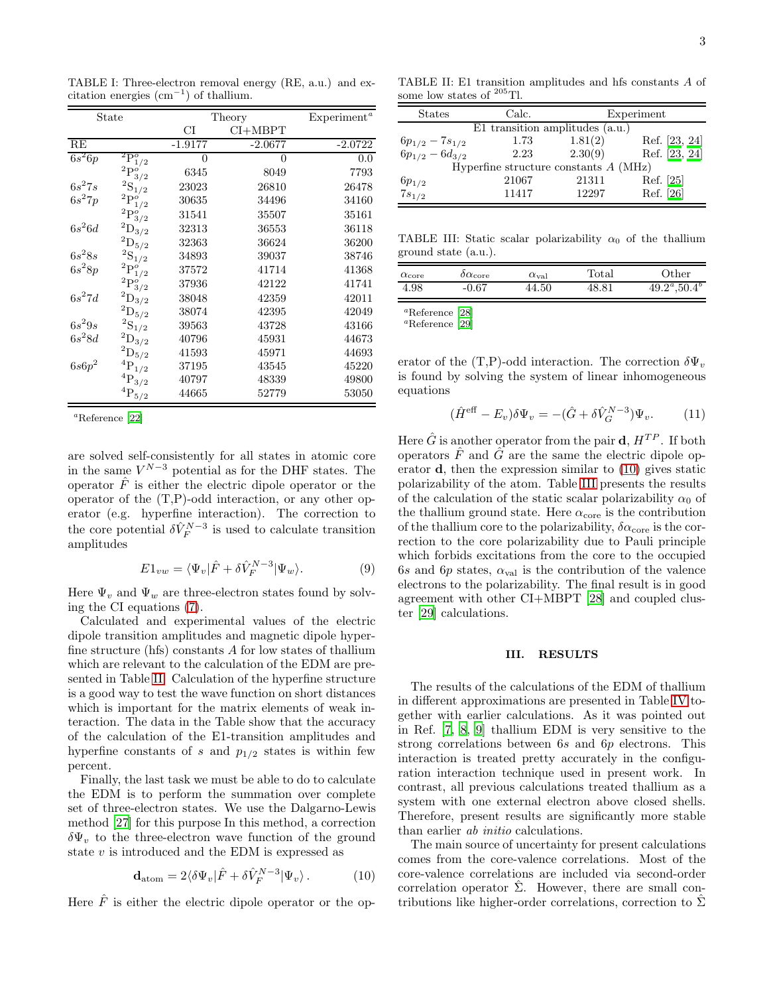<span id="page-2-0"></span>TABLE I: Three-electron removal energy (RE, a.u.) and excitation energies  $(\text{cm}^{-1})$  of thallium.

| State    |                                    | Theory    |           | Experiment <sup>a</sup> |
|----------|------------------------------------|-----------|-----------|-------------------------|
|          |                                    | СI        | $CI+MBPT$ |                         |
| RE       |                                    | $-1.9177$ | $-2.0677$ | $-2.0722$               |
| $6s^26p$ | $^2\overline{\mathrm{P}_1^o}_{/2}$ | 0         | 0         | 0.0                     |
|          | $^2\mathrm{P}^o_{3/2}$             | 6345      | 8049      | 7793                    |
| $6s^27s$ | $^2\mathrm{S}_{1/2}$               | 23023     | 26810     | 26478                   |
| $6s^27p$ | $^2\mathrm{P}^o_{1/2}$             | 30635     | 34496     | 34160                   |
|          | $^2\mathrm{P}_{3/2}^o$             | 31541     | 35507     | 35161                   |
| $6s^26d$ | $^2\mathrm{D}_{3/2}$               | 32313     | 36553     | 36118                   |
|          | $^2\mathrm{D}_{5/2}$               | 32363     | 36624     | 36200                   |
| $6s^28s$ | $^2\mathrm{S}_{1/2}$               | 34893     | 39037     | 38746                   |
| $6s^28p$ | $^2\mathrm{P}_{1/2}^o$             | 37572     | 41714     | 41368                   |
|          | $^2\mathrm{P}_{3/2}^o$             | 37936     | 42122     | 41741                   |
| $6s^27d$ | $^2\mathrm{D}_{3/2}$               | 38048     | 42359     | 42011                   |
|          | $^2\mathrm{D}_{5/2}$               | 38074     | 42395     | 42049                   |
| $6s^29s$ | $^2\mathrm{S}_{1/2}$               | 39563     | 43728     | 43166                   |
| $6s^28d$ | $^2\mathrm{D}_{3/2}$               | 40796     | 45931     | 44673                   |
|          | $^2\mathrm{D}_{5/2}$               | 41593     | 45971     | 44693                   |
| $6s6p^2$ | $^4\mathrm{P}_{1/2}$               | 37195     | 43545     | 45220                   |
|          | $^4\mathrm{P}_{3/2}$               | 40797     | 48339     | 49800                   |
|          | ${}^{4}P_{5/2}$                    | 44665     | 52779     | 53050                   |

<sup>a</sup>Reference [\[22\]](#page-3-21)

are solved self-consistently for all states in atomic core in the same  $V^{N-3}$  potential as for the DHF states. The operator  $\hat{F}$  is either the electric dipole operator or the operator of the (T,P)-odd interaction, or any other operator (e.g. hyperfine interaction). The correction to the core potential  $\delta \hat{V}_{F}^{N-3}$  is used to calculate transition amplitudes

$$
E1_{vw} = \langle \Psi_v | \hat{F} + \delta \hat{V}_F^{N-3} | \Psi_w \rangle.
$$
 (9)

Here  $\Psi_v$  and  $\Psi_w$  are three-electron states found by solving the CI equations [\(7\)](#page-1-2).

Calculated and experimental values of the electric dipole transition amplitudes and magnetic dipole hyperfine structure (hfs) constants A for low states of thallium which are relevant to the calculation of the EDM are presented in Table [II.](#page-2-1) Calculation of the hyperfine structure is a good way to test the wave function on short distances which is important for the matrix elements of weak interaction. The data in the Table show that the accuracy of the calculation of the E1-transition amplitudes and hyperfine constants of s and  $p_{1/2}$  states is within few percent.

Finally, the last task we must be able to do to calculate the EDM is to perform the summation over complete set of three-electron states. We use the Dalgarno-Lewis method [\[27\]](#page-3-22) for this purpose In this method, a correction  $\delta \Psi_{v}$  to the three-electron wave function of the ground state v is introduced and the EDM is expressed as

<span id="page-2-2"></span>
$$
\mathbf{d}_{\text{atom}} = 2\langle \delta \Psi_v | \hat{F} + \delta \hat{V}_F^{N-3} | \Psi_v \rangle. \tag{10}
$$

Here  $\hat{F}$  is either the electric dipole operator or the op-

TABLE II: E1 transition amplitudes and hfs constants A of some low states of  $^{205}\mathrm{TI}.$ 

<span id="page-2-1"></span>

| <b>States</b>                       | Calc.                                   |         | Experiment    |  |
|-------------------------------------|-----------------------------------------|---------|---------------|--|
| $E1$ transition amplitudes $(a.u.)$ |                                         |         |               |  |
| $6p_{1/2} - 7s_{1/2}$               | 1.73                                    | 1.81(2) | Ref. [23, 24] |  |
| $6p_{1/2} - 6d_{3/2}$               | 2.23                                    | 2.30(9) | Ref. [23, 24] |  |
|                                     | Hyperfine structure constants $A$ (MHz) |         |               |  |
| $6p_{1/2}$                          | 21067                                   | 21311   | Ref. [25]     |  |
| $7s_{1/2}$                          | 11417                                   | 12297   | Ref. [26]     |  |

<span id="page-2-3"></span>TABLE III: Static scalar polarizability  $\alpha_0$  of the thallium ground state (a.u.).

| $\alpha_{\rm core}$ | $\delta \alpha_{\rm core}$ | $\alpha_{\rm val}$ | $_{\rm Total}$ | $\rm Other$                 |
|---------------------|----------------------------|--------------------|----------------|-----------------------------|
| 4.98                | $-0.67$                    | 44.50              | 48.81          | $49.2^{\circ},50.4^{\circ}$ |
|                     |                            |                    |                |                             |

<sup>a</sup>Reference [\[28\]](#page-4-0) <sup>a</sup>Reference [\[29\]](#page-4-1)

erator of the (T,P)-odd interaction. The correction  $\delta \Psi_{\nu}$ is found by solving the system of linear inhomogeneous equations

$$
(\hat{H}^{\text{eff}} - E_v)\delta\Psi_v = -(\hat{G} + \delta\hat{V}_G^{N-3})\Psi_v.
$$
 (11)

Here  $\hat{G}$  is another operator from the pair **d**,  $H^{TP}$ . If both operators  $\hat{F}$  and  $\hat{G}$  are the same the electric dipole operator d, then the expression similar to [\(10\)](#page-2-2) gives static polarizability of the atom. Table [III](#page-2-3) presents the results of the calculation of the static scalar polarizability  $\alpha_0$  of the thallium ground state. Here  $\alpha_{\rm core}$  is the contribution of the thallium core to the polarizability,  $\delta \alpha_{\rm core}$  is the correction to the core polarizability due to Pauli principle which forbids excitations from the core to the occupied 6s and 6p states,  $\alpha_{\text{val}}$  is the contribution of the valence electrons to the polarizability. The final result is in good agreement with other CI+MBPT [\[28\]](#page-4-0) and coupled cluster [\[29](#page-4-1)] calculations.

# III. RESULTS

The results of the calculations of the EDM of thallium in different approximations are presented in Table [IV](#page-3-27) together with earlier calculations. As it was pointed out in Ref. [\[7](#page-3-8), [8,](#page-3-9) [9](#page-3-10)] thallium EDM is very sensitive to the strong correlations between 6s and 6p electrons. This interaction is treated pretty accurately in the configuration interaction technique used in present work. In contrast, all previous calculations treated thallium as a system with one external electron above closed shells. Therefore, present results are significantly more stable than earlier ab initio calculations.

The main source of uncertainty for present calculations comes from the core-valence correlations. Most of the core-valence correlations are included via second-order correlation operator  $\Sigma$ . However, there are small contributions like higher-order correlations, correction to  $\Sigma$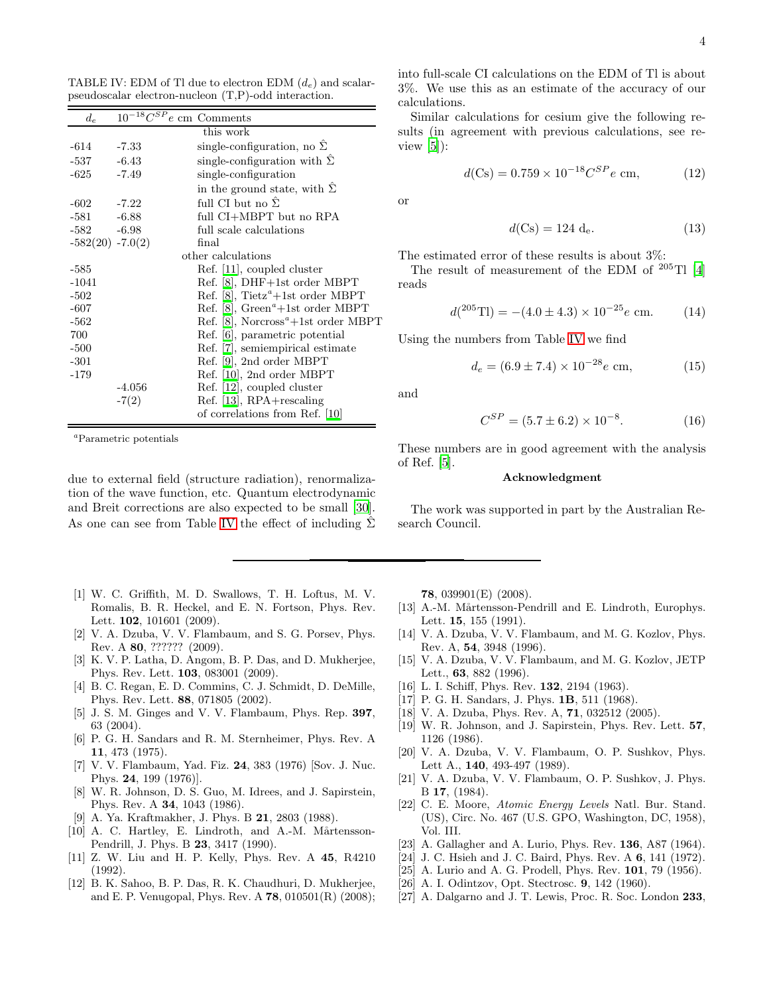into full-scale CI calculations on the EDM of Tl is about 3%. We use this as an estimate of the accuracy of our calculations.

Similar calculations for cesium give the following results (in agreement with previous calculations, see review  $[5]$ :

$$
d(Cs) = 0.759 \times 10^{-18} C^{SP} e \text{ cm}, \qquad (12)
$$

or

$$
d(Cs) = 124 \, d_e. \tag{13}
$$

The estimated error of these results is about 3%:

The result of measurement of the EDM of  $^{205}$ Tl [\[4](#page-3-3)] reads

$$
d(^{205}\text{TI}) = -(4.0 \pm 4.3) \times 10^{-25} e \text{ cm.}
$$
 (14)

Using the numbers from Table [IV](#page-3-27) we find

$$
d_e = (6.9 \pm 7.4) \times 10^{-28} e \text{ cm}, \tag{15}
$$

and

$$
C^{SP} = (5.7 \pm 6.2) \times 10^{-8}.
$$
 (16)

These numbers are in good agreement with the analysis of Ref. [\[5\]](#page-3-4).

### Acknowledgment

The work was supported in part by the Australian Research Council.

<span id="page-3-0"></span>[1] W. C. Griffith, M. D. Swallows, T. H. Loftus, M. V. Romalis, B. R. Heckel, and E. N. Fortson, Phys. Rev. Lett. **102**, 101601 (2009).

due to external field (structure radiation), renormalization of the wave function, etc. Quantum electrodynamic and Breit corrections are also expected to be small [\[30\]](#page-4-2). As one can see from Table [IV](#page-3-27) the effect of including  $\hat{\Sigma}$ 

- <span id="page-3-1"></span>[2] V. A. Dzuba, V. V. Flambaum, and S. G. Porsev, Phys. Rev. A 80, ?????? (2009).
- <span id="page-3-2"></span>[3] K. V. P. Latha, D. Angom, B. P. Das, and D. Mukherjee, Phys. Rev. Lett. 103, 083001 (2009).
- <span id="page-3-3"></span>[4] B. C. Regan, E. D. Commins, C. J. Schmidt, D. DeMille, Phys. Rev. Lett. 88, 071805 (2002).
- <span id="page-3-4"></span>[5] J. S. M. Ginges and V. V. Flambaum, Phys. Rep. 397, 63 (2004).
- <span id="page-3-7"></span>[6] P. G. H. Sandars and R. M. Sternheimer, Phys. Rev. A 11, 473 (1975).
- <span id="page-3-8"></span>[7] V. V. Flambaum, Yad. Fiz. 24, 383 (1976) [Sov. J. Nuc. Phys. 24, 199 (1976)].
- <span id="page-3-9"></span>[8] W. R. Johnson, D. S. Guo, M. Idrees, and J. Sapirstein, Phys. Rev. A 34, 1043 (1986).
- <span id="page-3-10"></span>[9] A. Ya. Kraftmakher, J. Phys. B 21, 2803 (1988).
- <span id="page-3-11"></span>[10] A. C. Hartley, E. Lindroth, and A.-M. Mårtensson-Pendrill, J. Phys. B 23, 3417 (1990).
- <span id="page-3-12"></span>[11] Z. W. Liu and H. P. Kelly, Phys. Rev. A 45, R4210 (1992).
- <span id="page-3-6"></span>[12] B. K. Sahoo, B. P. Das, R. K. Chaudhuri, D. Mukherjee, and E. P. Venugopal, Phys. Rev. A 78, 010501(R) (2008);

78, 039901(E) (2008).

- <span id="page-3-5"></span>[13] A.-M. Mårtensson-Pendrill and E. Lindroth, Europhys. Lett. 15, 155 (1991).
- <span id="page-3-13"></span>[14] V. A. Dzuba, V. V. Flambaum, and M. G. Kozlov, Phys. Rev. A, 54, 3948 (1996).
- <span id="page-3-14"></span>[15] V. A. Dzuba, V. V. Flambaum, and M. G. Kozlov, JETP Lett., 63, 882 (1996).
- <span id="page-3-15"></span>[16] L. I. Schiff, Phys. Rev. **132**, 2194 (1963).
- <span id="page-3-16"></span>[17] P. G. H. Sandars, J. Phys. **1B**, 511 (1968).
- <span id="page-3-17"></span>[18] V. A. Dzuba, Phys. Rev. A, **71**, 032512 (2005).
- <span id="page-3-18"></span>[19] W. R. Johnson, and J. Sapirstein, Phys. Rev. Lett. 57, 1126 (1986).
- <span id="page-3-19"></span>[20] V. A. Dzuba, V. V. Flambaum, O. P. Sushkov, Phys. Lett A., 140, 493-497 (1989).
- <span id="page-3-20"></span>[21] V. A. Dzuba, V. V. Flambaum, O. P. Sushkov, J. Phys. B 17, (1984).
- <span id="page-3-21"></span>[22] C. E. Moore, Atomic Energy Levels Natl. Bur. Stand. (US), Circ. No. 467 (U.S. GPO, Washington, DC, 1958), Vol. III.
- <span id="page-3-23"></span>[23] A. Gallagher and A. Lurio, Phys. Rev. 136, A87 (1964).
- <span id="page-3-24"></span>[24] J. C. Hsieh and J. C. Baird, Phys. Rev. A 6, 141 (1972).
- <span id="page-3-25"></span>[25] A. Lurio and A. G. Prodell, Phys. Rev. 101, 79 (1956).
- <span id="page-3-26"></span>[26] A. I. Odintzov, Opt. Stectrosc. 9, 142 (1960).
- <span id="page-3-22"></span>[27] A. Dalgarno and J. T. Lewis, Proc. R. Soc. London 233,

<span id="page-3-27"></span>TABLE IV: EDM of Tl due to electron EDM  $(d_e)$  and scalarpseudoscalar electron-nucleon (T,P)-odd interaction.

| $d_e$                | $10^{-18} C^{SP}e$ cm Comments |                                                              |
|----------------------|--------------------------------|--------------------------------------------------------------|
|                      |                                | this work                                                    |
| -614                 | $-7.33$                        | single-configuration, no $\Sigma$                            |
| -537                 | $-6.43$                        | single-configuration with $\Sigma$                           |
| -625                 | $-7.49$                        | single-configuration                                         |
|                      |                                | in the ground state, with $\Sigma$                           |
| -602                 | $-7.22$                        | full CI but no $\Sigma$                                      |
| $-581 - 6.88$        |                                | full CI+MBPT but no RPA                                      |
| $-582 - 6.98$        |                                | full scale calculations                                      |
| $-582(20)$ $-7.0(2)$ |                                | final                                                        |
|                      |                                | other calculations                                           |
| $-585$               |                                | Ref. [11], coupled cluster                                   |
| $-1041$              |                                | Ref. [8], DHF+1st order MBPT                                 |
| $-502$               |                                | Ref. [8], Tietz <sup><math>a</math></sup> +1st order MBPT    |
| $-607$               |                                | Ref. [8], $Green^a + 1st$ order MBPT                         |
| $-562$               |                                | Ref. [8], Norcross <sup><math>a</math></sup> +1st order MBPT |
| 700                  |                                | Ref. [6], parametric potential                               |
| $-500$               |                                | Ref. [7], semiempirical estimate                             |
| $-301$               |                                | Ref. [9], 2nd order MBPT                                     |
| $-179$               |                                | Ref. [10], 2nd order MBPT                                    |
|                      | $-4.056$                       | Ref. [12], coupled cluster                                   |
|                      | $-7(2)$                        | $Ref. [13], RPA + rescaling$                                 |
|                      |                                | of correlations from Ref. [10]                               |

<sup>a</sup>Parametric potentials